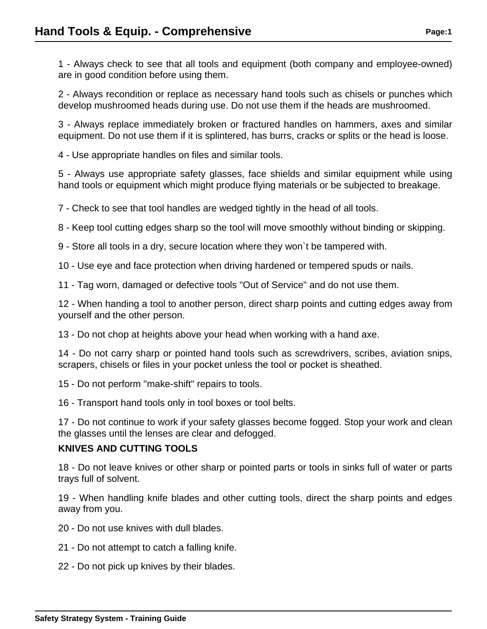1 - Always check to see that all tools and equipment (both company and employee-owned) are in good condition before using them.

2 - Always recondition or replace as necessary hand tools such as chisels or punches which develop mushroomed heads during use. Do not use them if the heads are mushroomed.

3 - Always replace immediately broken or fractured handles on hammers, axes and similar equipment. Do not use them if it is splintered, has burrs, cracks or splits or the head is loose.

4 - Use appropriate handles on files and similar tools.

5 - Always use appropriate safety glasses, face shields and similar equipment while using hand tools or equipment which might produce flying materials or be subjected to breakage.

7 - Check to see that tool handles are wedged tightly in the head of all tools.

8 - Keep tool cutting edges sharp so the tool will move smoothly without binding or skipping.

9 - Store all tools in a dry, secure location where they won`t be tampered with.

10 - Use eye and face protection when driving hardened or tempered spuds or nails.

11 - Tag worn, damaged or defective tools "Out of Service" and do not use them.

12 - When handing a tool to another person, direct sharp points and cutting edges away from yourself and the other person.

13 - Do not chop at heights above your head when working with a hand axe.

14 - Do not carry sharp or pointed hand tools such as screwdrivers, scribes, aviation snips, scrapers, chisels or files in your pocket unless the tool or pocket is sheathed.

15 - Do not perform "make-shift" repairs to tools.

16 - Transport hand tools only in tool boxes or tool belts.

17 - Do not continue to work if your safety glasses become fogged. Stop your work and clean the glasses until the lenses are clear and defogged.

# **KNIVES AND CUTTING TOOLS**

18 - Do not leave knives or other sharp or pointed parts or tools in sinks full of water or parts trays full of solvent.

19 - When handling knife blades and other cutting tools, direct the sharp points and edges away from you.

20 - Do not use knives with dull blades.

- 21 Do not attempt to catch a falling knife.
- 22 Do not pick up knives by their blades.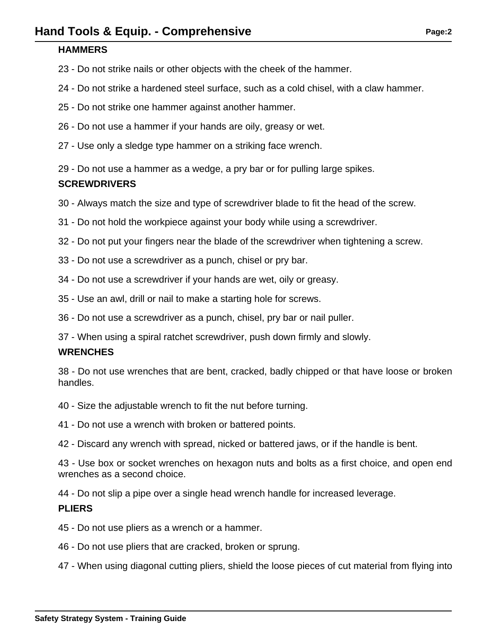### **HAMMERS**

- 23 Do not strike nails or other objects with the cheek of the hammer.
- 24 Do not strike a hardened steel surface, such as a cold chisel, with a claw hammer.
- 25 Do not strike one hammer against another hammer.
- 26 Do not use a hammer if your hands are oily, greasy or wet.
- 27 Use only a sledge type hammer on a striking face wrench.

29 - Do not use a hammer as a wedge, a pry bar or for pulling large spikes.

## **SCREWDRIVERS**

- 30 Always match the size and type of screwdriver blade to fit the head of the screw.
- 31 Do not hold the workpiece against your body while using a screwdriver.
- 32 Do not put your fingers near the blade of the screwdriver when tightening a screw.
- 33 Do not use a screwdriver as a punch, chisel or pry bar.
- 34 Do not use a screwdriver if your hands are wet, oily or greasy.
- 35 Use an awl, drill or nail to make a starting hole for screws.
- 36 Do not use a screwdriver as a punch, chisel, pry bar or nail puller.
- 37 When using a spiral ratchet screwdriver, push down firmly and slowly.

## **WRENCHES**

38 - Do not use wrenches that are bent, cracked, badly chipped or that have loose or broken handles.

- 40 Size the adjustable wrench to fit the nut before turning.
- 41 Do not use a wrench with broken or battered points.

42 - Discard any wrench with spread, nicked or battered jaws, or if the handle is bent.

43 - Use box or socket wrenches on hexagon nuts and bolts as a first choice, and open end wrenches as a second choice.

44 - Do not slip a pipe over a single head wrench handle for increased leverage.

## **PLIERS**

- 45 Do not use pliers as a wrench or a hammer.
- 46 Do not use pliers that are cracked, broken or sprung.

47 - When using diagonal cutting pliers, shield the loose pieces of cut material from flying into